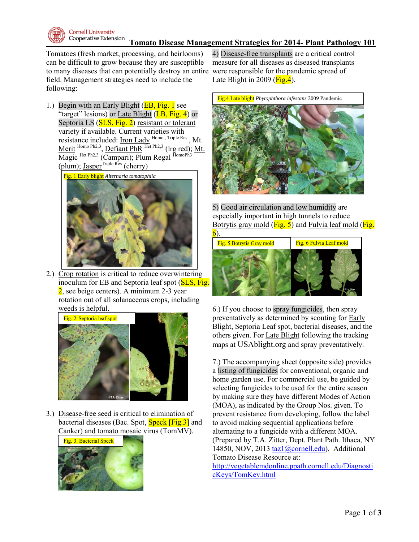

## **Tomato Disease Management Strategies for 2014- Plant Pathology 101**

Tomatoes (fresh market, processing, and heirlooms) can be difficult to grow because they are susceptible to many diseases that can potentially destroy an entire were responsible for the pandemic spread of field. Management strategies need to include the following:

1.) Begin with an Early Blight (EB, Fig. 1 see "target" lesions) or Late Blight (**LB**, Fig. 4) or Septoria LS (SLS, Fig. 2) resistant or tolerant variety if available. Current varieties with resistance included: <u>Iron Lady Homo.</u>, Triple Res., Mt. Merit <sup>Homo Ph2,3</sup>, Defiant PhR <sup>Het Ph2,3</sup> (lrg red); Mt. Magic <sup>Het Ph2,3</sup> (Campari); **Plum Regal** HomoPh3  $\overline{\text{(plum)}}$ ; Jasper $\overline{\text{Triple Res}}$  (cherry)



2.) Crop rotation is critical to reduce overwintering inoculum for EB and Septoria leaf spot (SLS, Fig. 2, see beige centers). A minimum 2-3 year rotation out of all solanaceous crops, including weeds is helpful.



3.) Disease-free seed is critical to elimination of bacterial diseases (Bac. Spot, **Speck** [Fig.3] and Canker) and tomato mosaic virus (TomMV).



4) Disease-free transplants are a critical control measure for all diseases as diseased transplants Late Blight in 2009 ( $\overline{Fig. 4}$ ).



5) Good air circulation and low humidity are especially important in high tunnels to reduce Botrytis gray mold  $(Fig. 5)$  and Fulvia leaf mold (Fig. 6).



6.) If you choose to spray fungicides, then spray preventatively as determined by scouting for Early Blight, Septoria Leaf spot, bacterial diseases, and the others given. For Late Blight following the tracking maps at USAblight.org and spray preventatively.

7.) The accompanying sheet (opposite side) provides a listing of fungicides for conventional, organic and home garden use. For commercial use, be guided by selecting fungicides to be used for the entire season by making sure they have different Modes of Action (MOA), as indicated by the Group Nos. given. To prevent resistance from developing, follow the label to avoid making sequential applications before alternating to a fungicide with a different MOA. (Prepared by T.A. Zitter, Dept. Plant Path. Ithaca, NY 14850, NOV, 2013 [taz1@cornell.edu\)](mailto:taz1@cornell.edu). Additional Tomato Disease Resource at:

[http://vegetablemdonline.ppath.cornell.edu/Diagnosti](http://vegetablemdonline.ppath.cornell.edu/DiagnosticKeys/TomKey.html) [cKeys/TomKey.html](http://vegetablemdonline.ppath.cornell.edu/DiagnosticKeys/TomKey.html)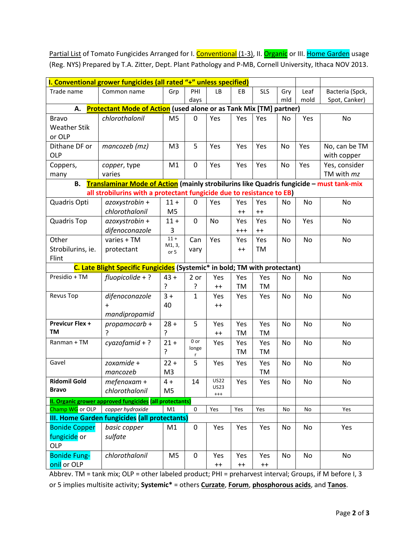Partial List of Tomato Fungicides Arranged for I. Conventional (1-3), II. Organic or III. Home Garden usage (Reg. NYS) Prepared by T.A. Zitter, Dept. Plant Pathology and P-MB, Cornell University, Ithaca NOV 2013.

| I. Conventional grower fungicides (all rated "+" unless specified)                                   |                                                          |                |              |             |          |            |           |      |                 |  |  |  |
|------------------------------------------------------------------------------------------------------|----------------------------------------------------------|----------------|--------------|-------------|----------|------------|-----------|------|-----------------|--|--|--|
| Trade name                                                                                           | Common name                                              | Grp            | PHI          | <b>LB</b>   | EB       | <b>SLS</b> | Gry       | Leaf | Bacteria (Spck, |  |  |  |
|                                                                                                      |                                                          |                | days         |             |          |            | mld       | mold | Spot, Canker)   |  |  |  |
| A. Protectant Mode of Action (used alone or as Tank Mix [TM] partner)                                |                                                          |                |              |             |          |            |           |      |                 |  |  |  |
| <b>Bravo</b>                                                                                         | chlorothalonil                                           | M <sub>5</sub> | 0            | Yes         | Yes      | Yes        | <b>No</b> | Yes  | No              |  |  |  |
| <b>Weather Stik</b>                                                                                  |                                                          |                |              |             |          |            |           |      |                 |  |  |  |
| or OLP                                                                                               |                                                          |                |              |             |          |            |           |      |                 |  |  |  |
| Dithane DF or                                                                                        | mancozeb (mz)                                            | M <sub>3</sub> | 5            | Yes         | Yes      | Yes        | No        | Yes  | No, can be TM   |  |  |  |
| <b>OLP</b>                                                                                           |                                                          |                |              |             |          |            |           |      | with copper     |  |  |  |
| Coppers,                                                                                             | copper, type                                             | M1             | 0            | Yes         | Yes      | Yes        | No        | Yes  | Yes, consider   |  |  |  |
| many                                                                                                 | varies                                                   |                |              |             |          |            |           |      | TM with mz      |  |  |  |
| Translaminar Mode of Action (mainly strobilurins like Quadris fungicide - must tank-mix<br><b>B.</b> |                                                          |                |              |             |          |            |           |      |                 |  |  |  |
| all strobilurins with a protectant fungicide due to resistance to EB)                                |                                                          |                |              |             |          |            |           |      |                 |  |  |  |
| Quadris Opti                                                                                         | azoxystrobin +                                           | $11 +$         | 0            | Yes         | Yes      | Yes        | <b>No</b> | No   | No              |  |  |  |
|                                                                                                      | chlorothalonil                                           | M <sub>5</sub> |              |             | $++$     | $++$       |           |      |                 |  |  |  |
| <b>Quadris Top</b>                                                                                   | azoxystrobin +                                           | $11 +$         | 0            | No          | Yes      | Yes        | No        | Yes  | No              |  |  |  |
|                                                                                                      | difenoconazole                                           | 3              |              |             | $^{+++}$ | $++$       |           |      |                 |  |  |  |
| Other                                                                                                | varies + TM                                              | $11 +$         | Can          | Yes         | Yes      | Yes        | No        | No   | No              |  |  |  |
| Strobilurins, ie.                                                                                    | protectant                                               | M1, 3,<br>or 5 | vary         |             | $^{++}$  | TM         |           |      |                 |  |  |  |
| Flint                                                                                                |                                                          |                |              |             |          |            |           |      |                 |  |  |  |
| C. Late Blight Specific Fungicides (Systemic* in bold; TM with protectant)                           |                                                          |                |              |             |          |            |           |      |                 |  |  |  |
| Presidio + TM                                                                                        | fluopicolide $+$ ?                                       | $43 +$         | 2 or         | Yes         | Yes      | Yes        | No        | No   | No              |  |  |  |
|                                                                                                      |                                                          | ŗ              | ŗ            | $^{++}$     | TM       | TM         |           |      |                 |  |  |  |
| Revus Top                                                                                            | difenoconazole                                           | $3 +$          | 1            | Yes         | Yes      | Yes        | No        | No   | No              |  |  |  |
|                                                                                                      | $+$                                                      | 40             |              | $++$        |          |            |           |      |                 |  |  |  |
|                                                                                                      | mandipropamid                                            |                |              |             |          |            |           |      |                 |  |  |  |
| <b>Previcur Flex +</b>                                                                               | propamocarb+                                             | $28 +$         | 5            | Yes         | Yes      | Yes        | No        | No   | No              |  |  |  |
| ΤM                                                                                                   | Ģ                                                        | ç.             |              | $++$        | TM       | TM         |           |      |                 |  |  |  |
| Ranman + TM                                                                                          | $cyazofamid + ?$                                         | $21 +$         | 0 or         | Yes         | Yes      | Yes        | <b>No</b> | No   | No              |  |  |  |
|                                                                                                      |                                                          | 5.             | longe        |             | TM       | TM         |           |      |                 |  |  |  |
| Gavel                                                                                                | zoxamide +                                               | $22 +$         | r<br>5       | Yes         | Yes      | Yes        | No        | No   | No              |  |  |  |
|                                                                                                      | mancozeb                                                 | M <sub>3</sub> |              |             |          | TM         |           |      |                 |  |  |  |
| <b>Ridomil Gold</b>                                                                                  | mefenoxam +                                              | $4 +$          | 14           | <b>US22</b> | Yes      | Yes        | No        | No   | No              |  |  |  |
| <b>Bravo</b>                                                                                         | chlorothalonil                                           | M <sub>5</sub> |              | <b>US23</b> |          |            |           |      |                 |  |  |  |
|                                                                                                      | II. Organic grower approved fungicides (all protectants) |                |              | $^{+++}$    |          |            |           |      |                 |  |  |  |
| Champ WG or OLP                                                                                      | copper hydroxide                                         | M1             | $\mathbf{0}$ | Yes         | Yes      | Yes        | No        | No   | Yes             |  |  |  |
|                                                                                                      | III. Home Garden fungicides (all protectants)            |                |              |             |          |            |           |      |                 |  |  |  |
| <b>Bonide Copper</b>                                                                                 | basic copper                                             | M1             | 0            | Yes         | Yes      | Yes        | No        | No   | Yes             |  |  |  |
| fungicide or                                                                                         | sulfate                                                  |                |              |             |          |            |           |      |                 |  |  |  |
| <b>OLP</b>                                                                                           |                                                          |                |              |             |          |            |           |      |                 |  |  |  |
| <b>Bonide Fung-</b>                                                                                  | chlorothalonil                                           | M <sub>5</sub> | 0            | Yes         | Yes      | Yes        | No        | No   | No              |  |  |  |
| onil or OLP                                                                                          |                                                          |                |              | $++$        | $++$     | $++$       |           |      |                 |  |  |  |

Abbrev. TM = tank mix; OLP = other labeled product; PHI = preharvest interval; Groups, if M before I, 3 or 5 implies multisite activity; **Systemic\*** = others **Curzate**, **Forum**, **phosphorous acids**, and **Tanos**.